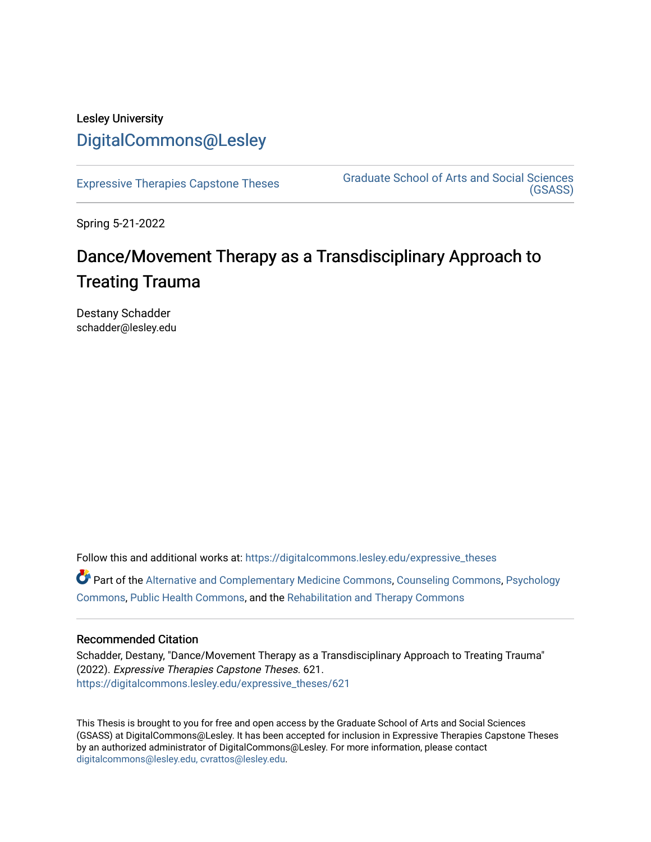# Lesley University [DigitalCommons@Lesley](https://digitalcommons.lesley.edu/)

[Expressive Therapies Capstone Theses](https://digitalcommons.lesley.edu/expressive_theses) Graduate School of Arts and Social Sciences [\(GSASS\)](https://digitalcommons.lesley.edu/gsass) 

Spring 5-21-2022

# Dance/Movement Therapy as a Transdisciplinary Approach to Treating Trauma

Destany Schadder schadder@lesley.edu

Follow this and additional works at: [https://digitalcommons.lesley.edu/expressive\\_theses](https://digitalcommons.lesley.edu/expressive_theses?utm_source=digitalcommons.lesley.edu%2Fexpressive_theses%2F621&utm_medium=PDF&utm_campaign=PDFCoverPages)

Part of the [Alternative and Complementary Medicine Commons,](http://network.bepress.com/hgg/discipline/649?utm_source=digitalcommons.lesley.edu%2Fexpressive_theses%2F621&utm_medium=PDF&utm_campaign=PDFCoverPages) [Counseling Commons,](http://network.bepress.com/hgg/discipline/1268?utm_source=digitalcommons.lesley.edu%2Fexpressive_theses%2F621&utm_medium=PDF&utm_campaign=PDFCoverPages) [Psychology](http://network.bepress.com/hgg/discipline/404?utm_source=digitalcommons.lesley.edu%2Fexpressive_theses%2F621&utm_medium=PDF&utm_campaign=PDFCoverPages) [Commons](http://network.bepress.com/hgg/discipline/404?utm_source=digitalcommons.lesley.edu%2Fexpressive_theses%2F621&utm_medium=PDF&utm_campaign=PDFCoverPages), [Public Health Commons](http://network.bepress.com/hgg/discipline/738?utm_source=digitalcommons.lesley.edu%2Fexpressive_theses%2F621&utm_medium=PDF&utm_campaign=PDFCoverPages), and the [Rehabilitation and Therapy Commons](http://network.bepress.com/hgg/discipline/749?utm_source=digitalcommons.lesley.edu%2Fexpressive_theses%2F621&utm_medium=PDF&utm_campaign=PDFCoverPages) 

# Recommended Citation

Schadder, Destany, "Dance/Movement Therapy as a Transdisciplinary Approach to Treating Trauma" (2022). Expressive Therapies Capstone Theses. 621. [https://digitalcommons.lesley.edu/expressive\\_theses/621](https://digitalcommons.lesley.edu/expressive_theses/621?utm_source=digitalcommons.lesley.edu%2Fexpressive_theses%2F621&utm_medium=PDF&utm_campaign=PDFCoverPages)

This Thesis is brought to you for free and open access by the Graduate School of Arts and Social Sciences (GSASS) at DigitalCommons@Lesley. It has been accepted for inclusion in Expressive Therapies Capstone Theses by an authorized administrator of DigitalCommons@Lesley. For more information, please contact [digitalcommons@lesley.edu, cvrattos@lesley.edu](mailto:digitalcommons@lesley.edu,%20cvrattos@lesley.edu).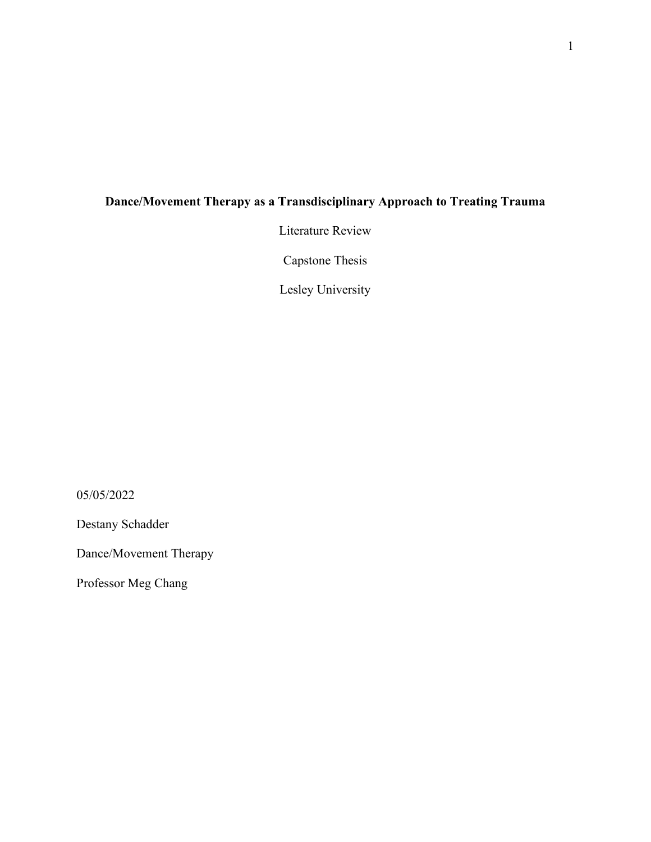# **Dance/Movement Therapy as a Transdisciplinary Approach to Treating Trauma**

Literature Review

Capstone Thesis

Lesley University

05/05/2022

Destany Schadder

Dance/Movement Therapy

Professor Meg Chang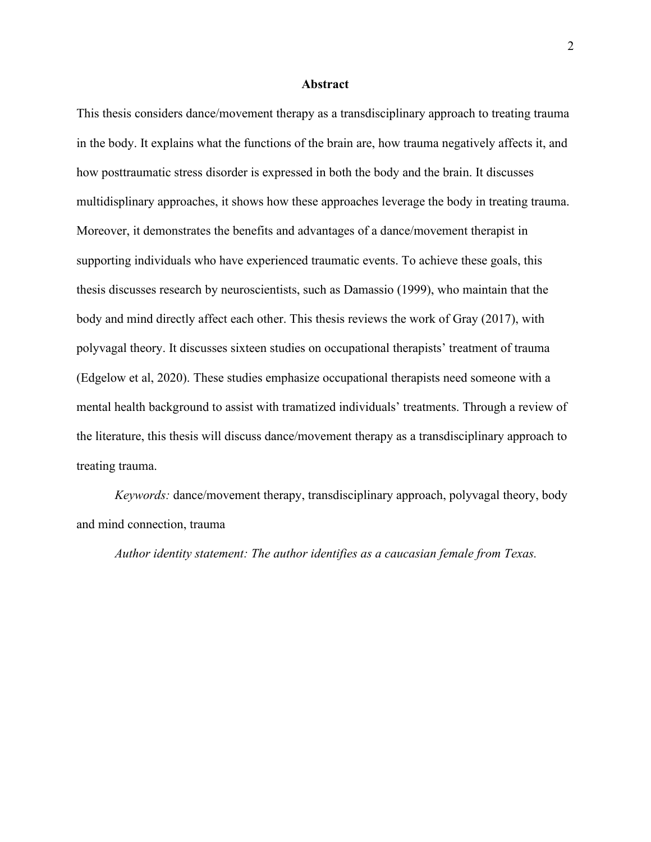#### **Abstract**

This thesis considers dance/movement therapy as a transdisciplinary approach to treating trauma in the body. It explains what the functions of the brain are, how trauma negatively affects it, and how posttraumatic stress disorder is expressed in both the body and the brain. It discusses multidisplinary approaches, it shows how these approaches leverage the body in treating trauma. Moreover, it demonstrates the benefits and advantages of a dance/movement therapist in supporting individuals who have experienced traumatic events. To achieve these goals, this thesis discusses research by neuroscientists, such as Damassio (1999), who maintain that the body and mind directly affect each other. This thesis reviews the work of Gray (2017), with polyvagal theory. It discusses sixteen studies on occupational therapists' treatment of trauma (Edgelow et al, 2020). These studies emphasize occupational therapists need someone with a mental health background to assist with tramatized individuals' treatments. Through a review of the literature, this thesis will discuss dance/movement therapy as a transdisciplinary approach to treating trauma.

*Keywords:* dance/movement therapy, transdisciplinary approach, polyvagal theory, body and mind connection, trauma

*Author identity statement: The author identifies as a caucasian female from Texas.*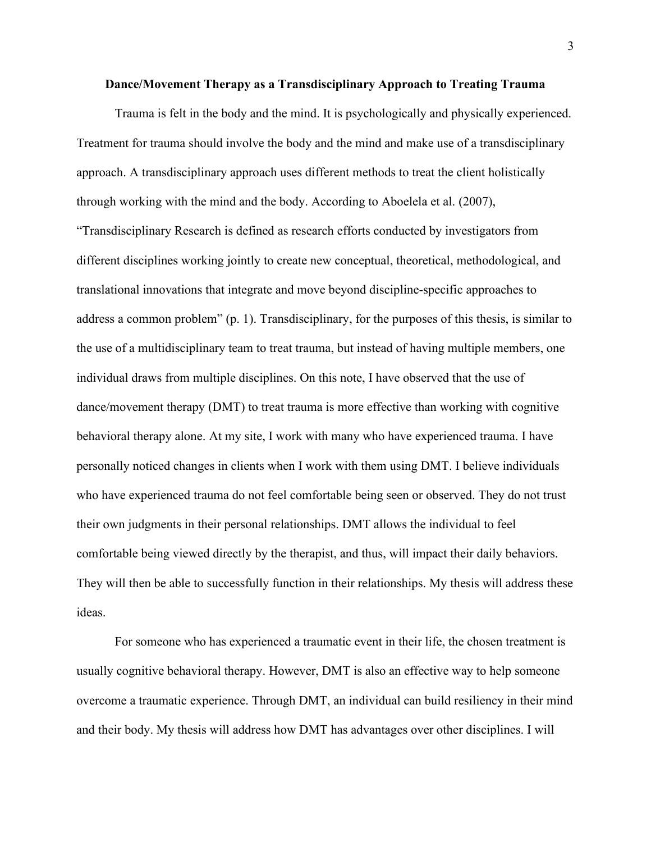#### **Dance/Movement Therapy as a Transdisciplinary Approach to Treating Trauma**

Trauma is felt in the body and the mind. It is psychologically and physically experienced. Treatment for trauma should involve the body and the mind and make use of a transdisciplinary approach. A transdisciplinary approach uses different methods to treat the client holistically through working with the mind and the body. According to Aboelela et al. (2007), "Transdisciplinary Research is defined as research efforts conducted by investigators from different disciplines working jointly to create new conceptual, theoretical, methodological, and translational innovations that integrate and move beyond discipline-specific approaches to address a common problem" (p. 1). Transdisciplinary, for the purposes of this thesis, is similar to the use of a multidisciplinary team to treat trauma, but instead of having multiple members, one individual draws from multiple disciplines. On this note, I have observed that the use of dance/movement therapy (DMT) to treat trauma is more effective than working with cognitive behavioral therapy alone. At my site, I work with many who have experienced trauma. I have personally noticed changes in clients when I work with them using DMT. I believe individuals who have experienced trauma do not feel comfortable being seen or observed. They do not trust their own judgments in their personal relationships. DMT allows the individual to feel comfortable being viewed directly by the therapist, and thus, will impact their daily behaviors. They will then be able to successfully function in their relationships. My thesis will address these ideas.

For someone who has experienced a traumatic event in their life, the chosen treatment is usually cognitive behavioral therapy. However, DMT is also an effective way to help someone overcome a traumatic experience. Through DMT, an individual can build resiliency in their mind and their body. My thesis will address how DMT has advantages over other disciplines. I will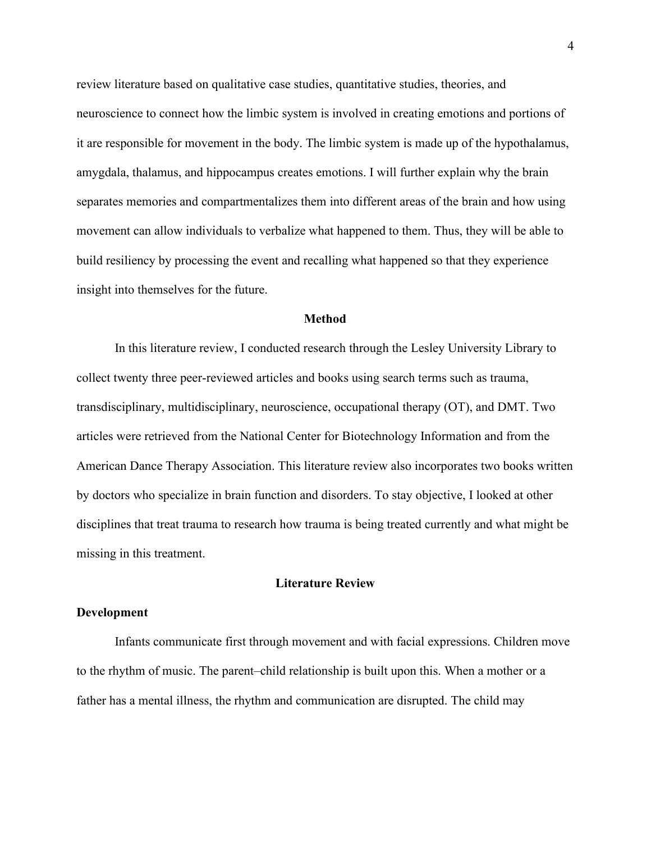review literature based on qualitative case studies, quantitative studies, theories, and neuroscience to connect how the limbic system is involved in creating emotions and portions of it are responsible for movement in the body. The limbic system is made up of the hypothalamus, amygdala, thalamus, and hippocampus creates emotions. I will further explain why the brain separates memories and compartmentalizes them into different areas of the brain and how using movement can allow individuals to verbalize what happened to them. Thus, they will be able to build resiliency by processing the event and recalling what happened so that they experience insight into themselves for the future.

# **Method**

In this literature review, I conducted research through the Lesley University Library to collect twenty three peer-reviewed articles and books using search terms such as trauma, transdisciplinary, multidisciplinary, neuroscience, occupational therapy (OT), and DMT. Two articles were retrieved from the National Center for Biotechnology Information and from the American Dance Therapy Association. This literature review also incorporates two books written by doctors who specialize in brain function and disorders. To stay objective, I looked at other disciplines that treat trauma to research how trauma is being treated currently and what might be missing in this treatment.

# **Literature Review**

#### **Development**

Infants communicate first through movement and with facial expressions. Children move to the rhythm of music. The parent–child relationship is built upon this. When a mother or a father has a mental illness, the rhythm and communication are disrupted. The child may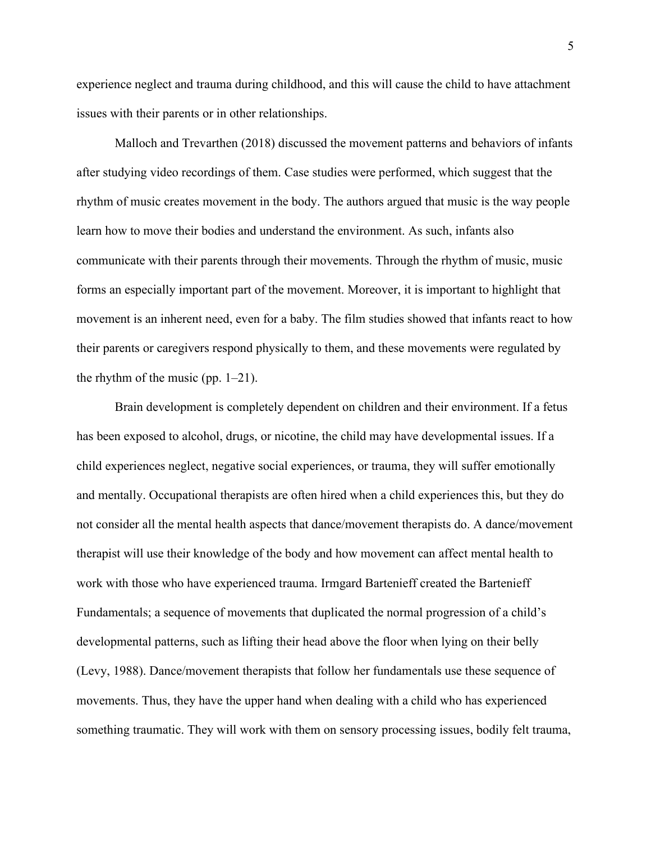experience neglect and trauma during childhood, and this will cause the child to have attachment issues with their parents or in other relationships.

Malloch and Trevarthen (2018) discussed the movement patterns and behaviors of infants after studying video recordings of them. Case studies were performed, which suggest that the rhythm of music creates movement in the body. The authors argued that music is the way people learn how to move their bodies and understand the environment. As such, infants also communicate with their parents through their movements. Through the rhythm of music, music forms an especially important part of the movement. Moreover, it is important to highlight that movement is an inherent need, even for a baby. The film studies showed that infants react to how their parents or caregivers respond physically to them, and these movements were regulated by the rhythm of the music (pp.  $1-21$ ).

Brain development is completely dependent on children and their environment. If a fetus has been exposed to alcohol, drugs, or nicotine, the child may have developmental issues. If a child experiences neglect, negative social experiences, or trauma, they will suffer emotionally and mentally. Occupational therapists are often hired when a child experiences this, but they do not consider all the mental health aspects that dance/movement therapists do. A dance/movement therapist will use their knowledge of the body and how movement can affect mental health to work with those who have experienced trauma. Irmgard Bartenieff created the Bartenieff Fundamentals; a sequence of movements that duplicated the normal progression of a child's developmental patterns, such as lifting their head above the floor when lying on their belly (Levy, 1988). Dance/movement therapists that follow her fundamentals use these sequence of movements. Thus, they have the upper hand when dealing with a child who has experienced something traumatic. They will work with them on sensory processing issues, bodily felt trauma,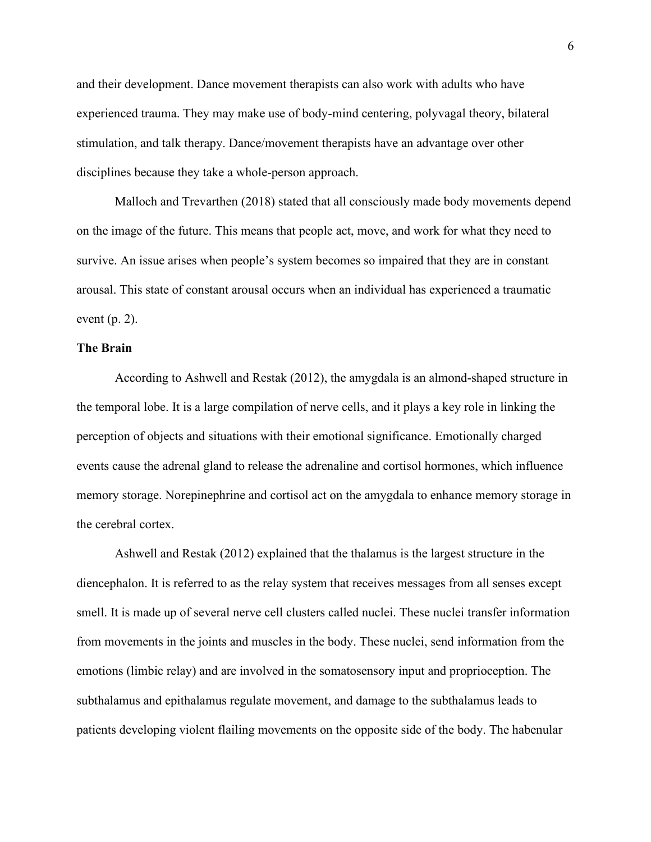and their development. Dance movement therapists can also work with adults who have experienced trauma. They may make use of body-mind centering, polyvagal theory, bilateral stimulation, and talk therapy. Dance/movement therapists have an advantage over other disciplines because they take a whole-person approach.

Malloch and Trevarthen (2018) stated that all consciously made body movements depend on the image of the future. This means that people act, move, and work for what they need to survive. An issue arises when people's system becomes so impaired that they are in constant arousal. This state of constant arousal occurs when an individual has experienced a traumatic event (p. 2).

# **The Brain**

According to Ashwell and Restak (2012), the amygdala is an almond-shaped structure in the temporal lobe. It is a large compilation of nerve cells, and it plays a key role in linking the perception of objects and situations with their emotional significance. Emotionally charged events cause the adrenal gland to release the adrenaline and cortisol hormones, which influence memory storage. Norepinephrine and cortisol act on the amygdala to enhance memory storage in the cerebral cortex.

Ashwell and Restak (2012) explained that the thalamus is the largest structure in the diencephalon. It is referred to as the relay system that receives messages from all senses except smell. It is made up of several nerve cell clusters called nuclei. These nuclei transfer information from movements in the joints and muscles in the body. These nuclei, send information from the emotions (limbic relay) and are involved in the somatosensory input and proprioception. The subthalamus and epithalamus regulate movement, and damage to the subthalamus leads to patients developing violent flailing movements on the opposite side of the body. The habenular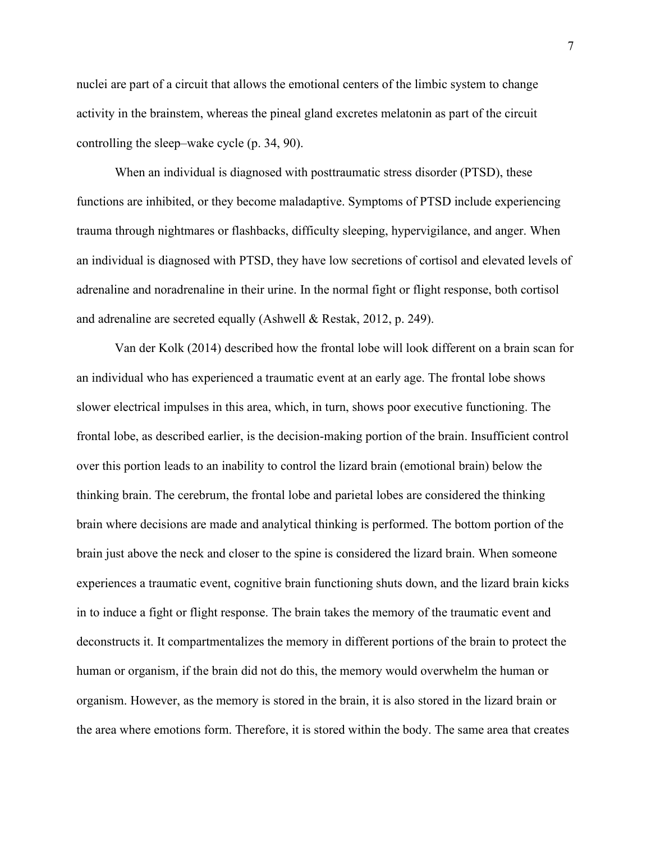nuclei are part of a circuit that allows the emotional centers of the limbic system to change activity in the brainstem, whereas the pineal gland excretes melatonin as part of the circuit controlling the sleep–wake cycle (p. 34, 90).

When an individual is diagnosed with posttraumatic stress disorder (PTSD), these functions are inhibited, or they become maladaptive. Symptoms of PTSD include experiencing trauma through nightmares or flashbacks, difficulty sleeping, hypervigilance, and anger. When an individual is diagnosed with PTSD, they have low secretions of cortisol and elevated levels of adrenaline and noradrenaline in their urine. In the normal fight or flight response, both cortisol and adrenaline are secreted equally (Ashwell & Restak, 2012, p. 249).

Van der Kolk (2014) described how the frontal lobe will look different on a brain scan for an individual who has experienced a traumatic event at an early age. The frontal lobe shows slower electrical impulses in this area, which, in turn, shows poor executive functioning. The frontal lobe, as described earlier, is the decision-making portion of the brain. Insufficient control over this portion leads to an inability to control the lizard brain (emotional brain) below the thinking brain. The cerebrum, the frontal lobe and parietal lobes are considered the thinking brain where decisions are made and analytical thinking is performed. The bottom portion of the brain just above the neck and closer to the spine is considered the lizard brain. When someone experiences a traumatic event, cognitive brain functioning shuts down, and the lizard brain kicks in to induce a fight or flight response. The brain takes the memory of the traumatic event and deconstructs it. It compartmentalizes the memory in different portions of the brain to protect the human or organism, if the brain did not do this, the memory would overwhelm the human or organism. However, as the memory is stored in the brain, it is also stored in the lizard brain or the area where emotions form. Therefore, it is stored within the body. The same area that creates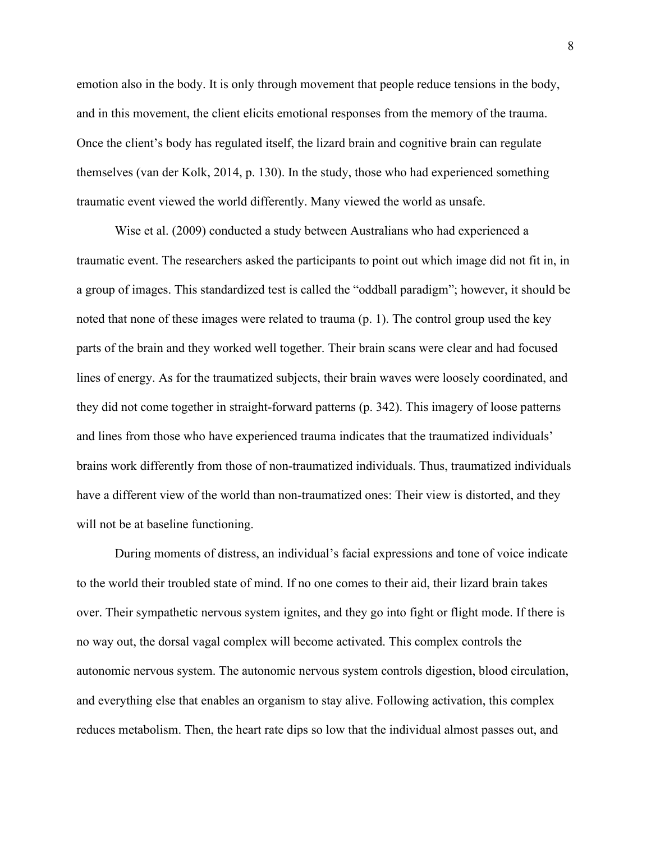emotion also in the body. It is only through movement that people reduce tensions in the body, and in this movement, the client elicits emotional responses from the memory of the trauma. Once the client's body has regulated itself, the lizard brain and cognitive brain can regulate themselves (van der Kolk, 2014, p. 130). In the study, those who had experienced something traumatic event viewed the world differently. Many viewed the world as unsafe.

Wise et al. (2009) conducted a study between Australians who had experienced a traumatic event. The researchers asked the participants to point out which image did not fit in, in a group of images. This standardized test is called the "oddball paradigm"; however, it should be noted that none of these images were related to trauma (p. 1). The control group used the key parts of the brain and they worked well together. Their brain scans were clear and had focused lines of energy. As for the traumatized subjects, their brain waves were loosely coordinated, and they did not come together in straight-forward patterns (p. 342). This imagery of loose patterns and lines from those who have experienced trauma indicates that the traumatized individuals' brains work differently from those of non-traumatized individuals. Thus, traumatized individuals have a different view of the world than non-traumatized ones: Their view is distorted, and they will not be at baseline functioning.

During moments of distress, an individual's facial expressions and tone of voice indicate to the world their troubled state of mind. If no one comes to their aid, their lizard brain takes over. Their sympathetic nervous system ignites, and they go into fight or flight mode. If there is no way out, the dorsal vagal complex will become activated. This complex controls the autonomic nervous system. The autonomic nervous system controls digestion, blood circulation, and everything else that enables an organism to stay alive. Following activation, this complex reduces metabolism. Then, the heart rate dips so low that the individual almost passes out, and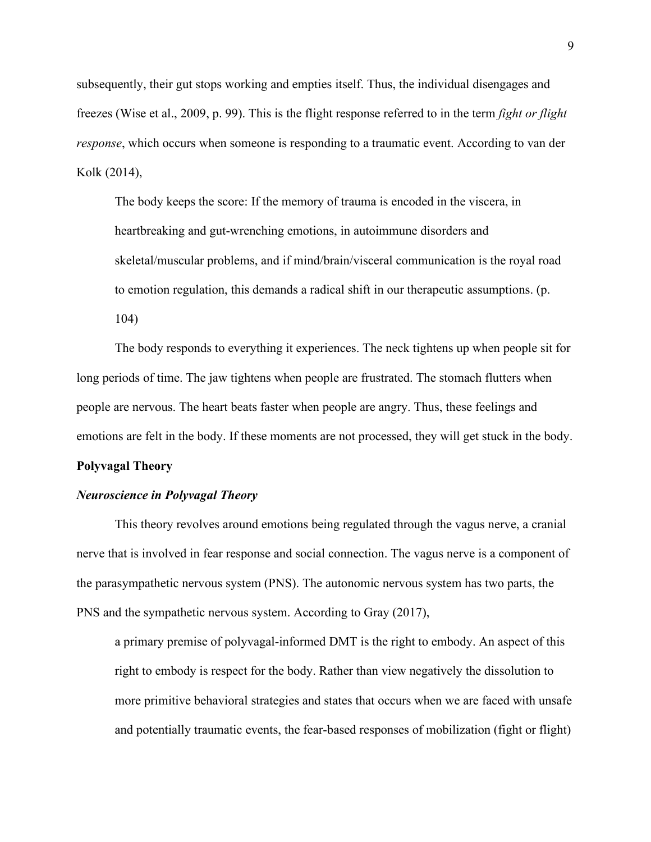subsequently, their gut stops working and empties itself. Thus, the individual disengages and freezes (Wise et al., 2009, p. 99). This is the flight response referred to in the term *fight or flight response*, which occurs when someone is responding to a traumatic event. According to van der Kolk (2014),

The body keeps the score: If the memory of trauma is encoded in the viscera, in heartbreaking and gut-wrenching emotions, in autoimmune disorders and skeletal/muscular problems, and if mind/brain/visceral communication is the royal road to emotion regulation, this demands a radical shift in our therapeutic assumptions. (p. 104)

The body responds to everything it experiences. The neck tightens up when people sit for long periods of time. The jaw tightens when people are frustrated. The stomach flutters when people are nervous. The heart beats faster when people are angry. Thus, these feelings and emotions are felt in the body. If these moments are not processed, they will get stuck in the body.

#### **Polyvagal Theory**

# *Neuroscience in Polyvagal Theory*

This theory revolves around emotions being regulated through the vagus nerve, a cranial nerve that is involved in fear response and social connection. The vagus nerve is a component of the parasympathetic nervous system (PNS). The autonomic nervous system has two parts, the PNS and the sympathetic nervous system. According to Gray (2017),

a primary premise of polyvagal-informed DMT is the right to embody. An aspect of this right to embody is respect for the body. Rather than view negatively the dissolution to more primitive behavioral strategies and states that occurs when we are faced with unsafe and potentially traumatic events, the fear-based responses of mobilization (fight or flight)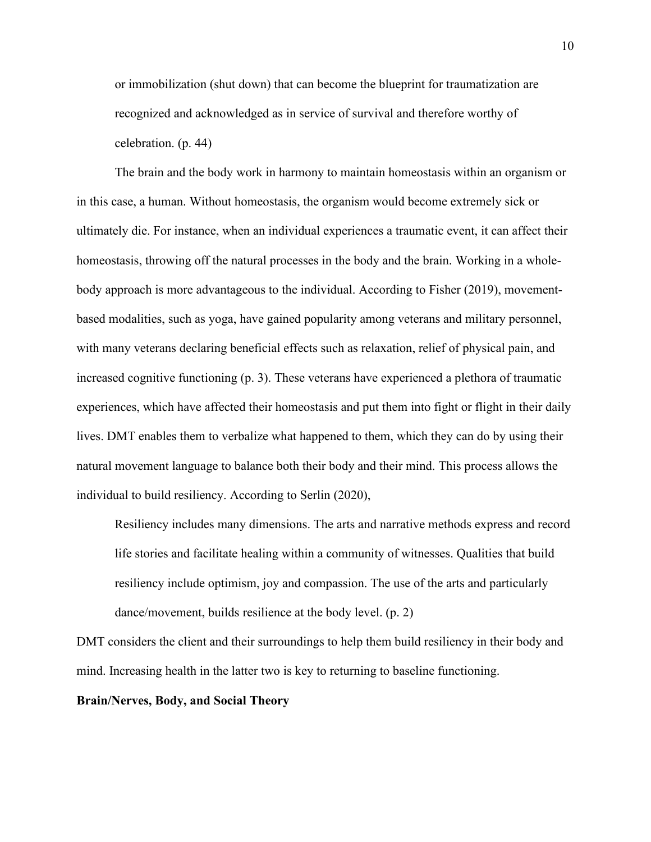or immobilization (shut down) that can become the blueprint for traumatization are recognized and acknowledged as in service of survival and therefore worthy of celebration. (p. 44)

The brain and the body work in harmony to maintain homeostasis within an organism or in this case, a human. Without homeostasis, the organism would become extremely sick or ultimately die. For instance, when an individual experiences a traumatic event, it can affect their homeostasis, throwing off the natural processes in the body and the brain. Working in a wholebody approach is more advantageous to the individual. According to Fisher (2019), movementbased modalities, such as yoga, have gained popularity among veterans and military personnel, with many veterans declaring beneficial effects such as relaxation, relief of physical pain, and increased cognitive functioning (p. 3). These veterans have experienced a plethora of traumatic experiences, which have affected their homeostasis and put them into fight or flight in their daily lives. DMT enables them to verbalize what happened to them, which they can do by using their natural movement language to balance both their body and their mind. This process allows the individual to build resiliency. According to Serlin (2020),

Resiliency includes many dimensions. The arts and narrative methods express and record life stories and facilitate healing within a community of witnesses. Qualities that build resiliency include optimism, joy and compassion. The use of the arts and particularly dance/movement, builds resilience at the body level. (p. 2)

DMT considers the client and their surroundings to help them build resiliency in their body and mind. Increasing health in the latter two is key to returning to baseline functioning.

**Brain/Nerves, Body, and Social Theory**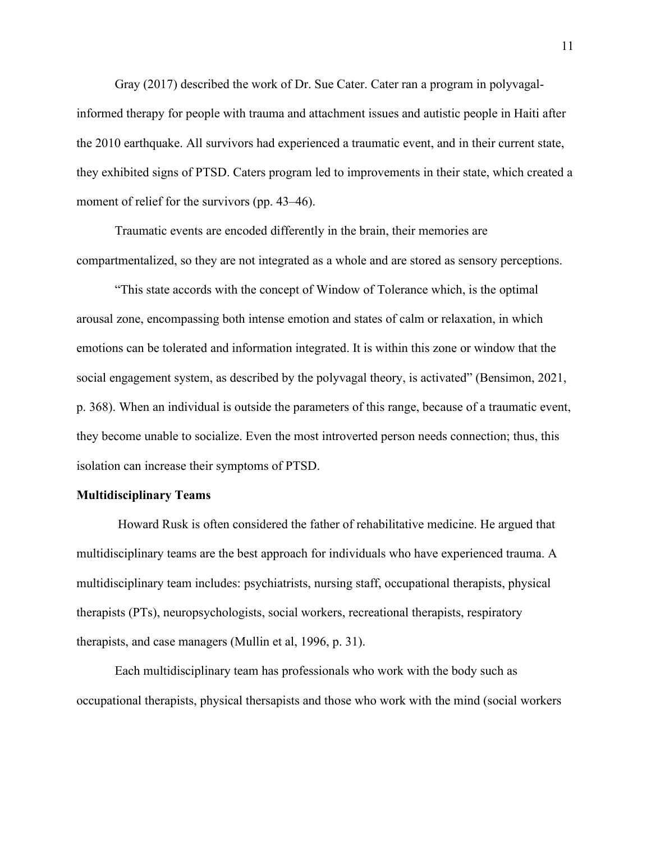Gray (2017) described the work of Dr. Sue Cater. Cater ran a program in polyvagalinformed therapy for people with trauma and attachment issues and autistic people in Haiti after the 2010 earthquake. All survivors had experienced a traumatic event, and in their current state, they exhibited signs of PTSD. Caters program led to improvements in their state, which created a moment of relief for the survivors (pp. 43–46).

Traumatic events are encoded differently in the brain, their memories are compartmentalized, so they are not integrated as a whole and are stored as sensory perceptions.

"This state accords with the concept of Window of Tolerance which, is the optimal arousal zone, encompassing both intense emotion and states of calm or relaxation, in which emotions can be tolerated and information integrated. It is within this zone or window that the social engagement system, as described by the polyvagal theory, is activated" (Bensimon, 2021, p. 368). When an individual is outside the parameters of this range, because of a traumatic event, they become unable to socialize. Even the most introverted person needs connection; thus, this isolation can increase their symptoms of PTSD.

#### **Multidisciplinary Teams**

 Howard Rusk is often considered the father of rehabilitative medicine. He argued that multidisciplinary teams are the best approach for individuals who have experienced trauma. A multidisciplinary team includes: psychiatrists, nursing staff, occupational therapists, physical therapists (PTs), neuropsychologists, social workers, recreational therapists, respiratory therapists, and case managers (Mullin et al, 1996, p. 31).

Each multidisciplinary team has professionals who work with the body such as occupational therapists, physical thersapists and those who work with the mind (social workers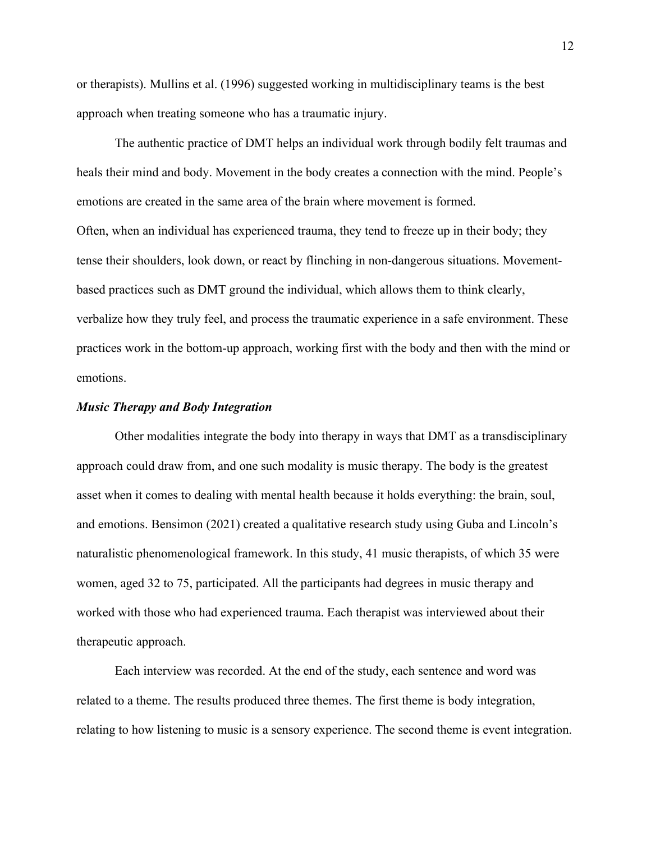or therapists). Mullins et al. (1996) suggested working in multidisciplinary teams is the best approach when treating someone who has a traumatic injury.

The authentic practice of DMT helps an individual work through bodily felt traumas and heals their mind and body. Movement in the body creates a connection with the mind. People's emotions are created in the same area of the brain where movement is formed. Often, when an individual has experienced trauma, they tend to freeze up in their body; they tense their shoulders, look down, or react by flinching in non-dangerous situations. Movementbased practices such as DMT ground the individual, which allows them to think clearly, verbalize how they truly feel, and process the traumatic experience in a safe environment. These practices work in the bottom-up approach, working first with the body and then with the mind or emotions.

# *Music Therapy and Body Integration*

Other modalities integrate the body into therapy in ways that DMT as a transdisciplinary approach could draw from, and one such modality is music therapy. The body is the greatest asset when it comes to dealing with mental health because it holds everything: the brain, soul, and emotions. Bensimon (2021) created a qualitative research study using Guba and Lincoln's naturalistic phenomenological framework. In this study, 41 music therapists, of which 35 were women, aged 32 to 75, participated. All the participants had degrees in music therapy and worked with those who had experienced trauma. Each therapist was interviewed about their therapeutic approach.

Each interview was recorded. At the end of the study, each sentence and word was related to a theme. The results produced three themes. The first theme is body integration, relating to how listening to music is a sensory experience. The second theme is event integration.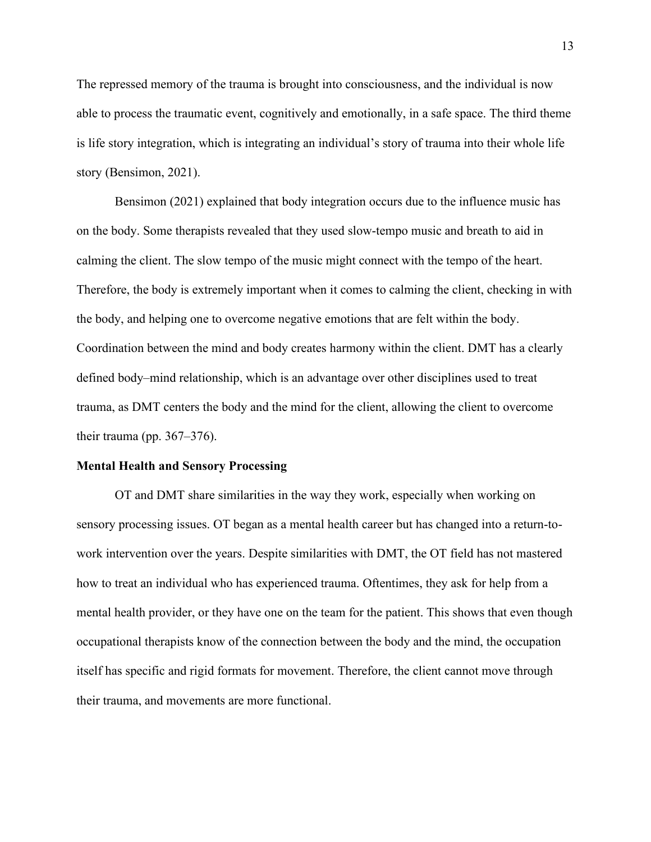The repressed memory of the trauma is brought into consciousness, and the individual is now able to process the traumatic event, cognitively and emotionally, in a safe space. The third theme is life story integration, which is integrating an individual's story of trauma into their whole life story (Bensimon, 2021).

Bensimon (2021) explained that body integration occurs due to the influence music has on the body. Some therapists revealed that they used slow-tempo music and breath to aid in calming the client. The slow tempo of the music might connect with the tempo of the heart. Therefore, the body is extremely important when it comes to calming the client, checking in with the body, and helping one to overcome negative emotions that are felt within the body. Coordination between the mind and body creates harmony within the client. DMT has a clearly defined body–mind relationship, which is an advantage over other disciplines used to treat trauma, as DMT centers the body and the mind for the client, allowing the client to overcome their trauma (pp. 367–376).

#### **Mental Health and Sensory Processing**

OT and DMT share similarities in the way they work, especially when working on sensory processing issues. OT began as a mental health career but has changed into a return-towork intervention over the years. Despite similarities with DMT, the OT field has not mastered how to treat an individual who has experienced trauma. Oftentimes, they ask for help from a mental health provider, or they have one on the team for the patient. This shows that even though occupational therapists know of the connection between the body and the mind, the occupation itself has specific and rigid formats for movement. Therefore, the client cannot move through their trauma, and movements are more functional.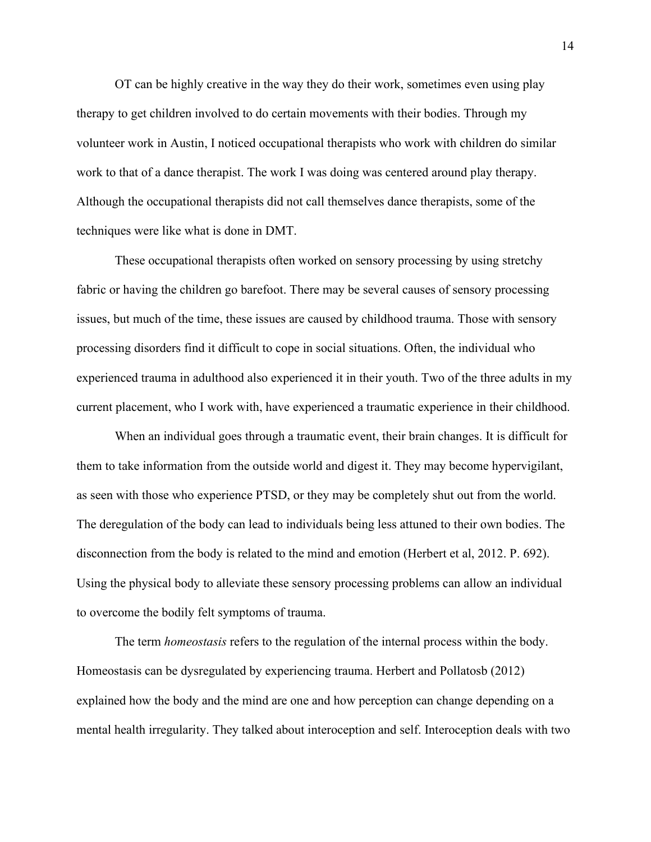OT can be highly creative in the way they do their work, sometimes even using play therapy to get children involved to do certain movements with their bodies. Through my volunteer work in Austin, I noticed occupational therapists who work with children do similar work to that of a dance therapist. The work I was doing was centered around play therapy. Although the occupational therapists did not call themselves dance therapists, some of the techniques were like what is done in DMT.

These occupational therapists often worked on sensory processing by using stretchy fabric or having the children go barefoot. There may be several causes of sensory processing issues, but much of the time, these issues are caused by childhood trauma. Those with sensory processing disorders find it difficult to cope in social situations. Often, the individual who experienced trauma in adulthood also experienced it in their youth. Two of the three adults in my current placement, who I work with, have experienced a traumatic experience in their childhood.

When an individual goes through a traumatic event, their brain changes. It is difficult for them to take information from the outside world and digest it. They may become hypervigilant, as seen with those who experience PTSD, or they may be completely shut out from the world. The deregulation of the body can lead to individuals being less attuned to their own bodies. The disconnection from the body is related to the mind and emotion (Herbert et al, 2012. P. 692). Using the physical body to alleviate these sensory processing problems can allow an individual to overcome the bodily felt symptoms of trauma.

The term *homeostasis* refers to the regulation of the internal process within the body. Homeostasis can be dysregulated by experiencing trauma. Herbert and Pollatosb (2012) explained how the body and the mind are one and how perception can change depending on a mental health irregularity. They talked about interoception and self. Interoception deals with two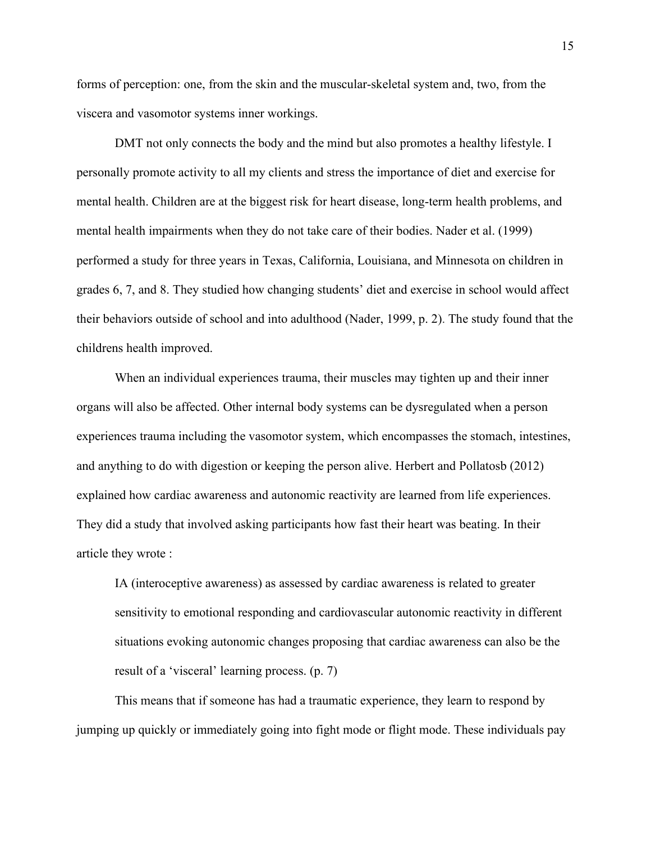forms of perception: one, from the skin and the muscular-skeletal system and, two, from the viscera and vasomotor systems inner workings.

DMT not only connects the body and the mind but also promotes a healthy lifestyle. I personally promote activity to all my clients and stress the importance of diet and exercise for mental health. Children are at the biggest risk for heart disease, long-term health problems, and mental health impairments when they do not take care of their bodies. Nader et al. (1999) performed a study for three years in Texas, California, Louisiana, and Minnesota on children in grades 6, 7, and 8. They studied how changing students' diet and exercise in school would affect their behaviors outside of school and into adulthood (Nader, 1999, p. 2). The study found that the childrens health improved.

When an individual experiences trauma, their muscles may tighten up and their inner organs will also be affected. Other internal body systems can be dysregulated when a person experiences trauma including the vasomotor system, which encompasses the stomach, intestines, and anything to do with digestion or keeping the person alive. Herbert and Pollatosb (2012) explained how cardiac awareness and autonomic reactivity are learned from life experiences. They did a study that involved asking participants how fast their heart was beating. In their article they wrote :

IA (interoceptive awareness) as assessed by cardiac awareness is related to greater sensitivity to emotional responding and cardiovascular autonomic reactivity in different situations evoking autonomic changes proposing that cardiac awareness can also be the result of a 'visceral' learning process. (p. 7)

This means that if someone has had a traumatic experience, they learn to respond by jumping up quickly or immediately going into fight mode or flight mode. These individuals pay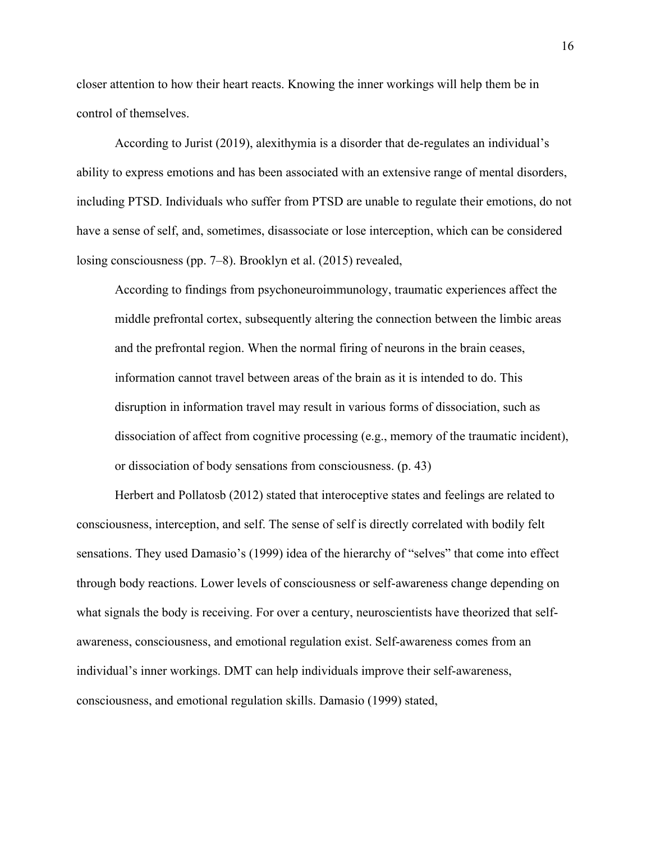closer attention to how their heart reacts. Knowing the inner workings will help them be in control of themselves.

According to Jurist (2019), alexithymia is a disorder that de-regulates an individual's ability to express emotions and has been associated with an extensive range of mental disorders, including PTSD. Individuals who suffer from PTSD are unable to regulate their emotions, do not have a sense of self, and, sometimes, disassociate or lose interception, which can be considered losing consciousness (pp. 7–8). Brooklyn et al. (2015) revealed,

According to findings from psychoneuroimmunology, traumatic experiences affect the middle prefrontal cortex, subsequently altering the connection between the limbic areas and the prefrontal region. When the normal firing of neurons in the brain ceases, information cannot travel between areas of the brain as it is intended to do. This disruption in information travel may result in various forms of dissociation, such as dissociation of affect from cognitive processing (e.g., memory of the traumatic incident), or dissociation of body sensations from consciousness. (p. 43)

Herbert and Pollatosb (2012) stated that interoceptive states and feelings are related to consciousness, interception, and self. The sense of self is directly correlated with bodily felt sensations. They used Damasio's (1999) idea of the hierarchy of "selves" that come into effect through body reactions. Lower levels of consciousness or self-awareness change depending on what signals the body is receiving. For over a century, neuroscientists have theorized that selfawareness, consciousness, and emotional regulation exist. Self-awareness comes from an individual's inner workings. DMT can help individuals improve their self-awareness, consciousness, and emotional regulation skills. Damasio (1999) stated,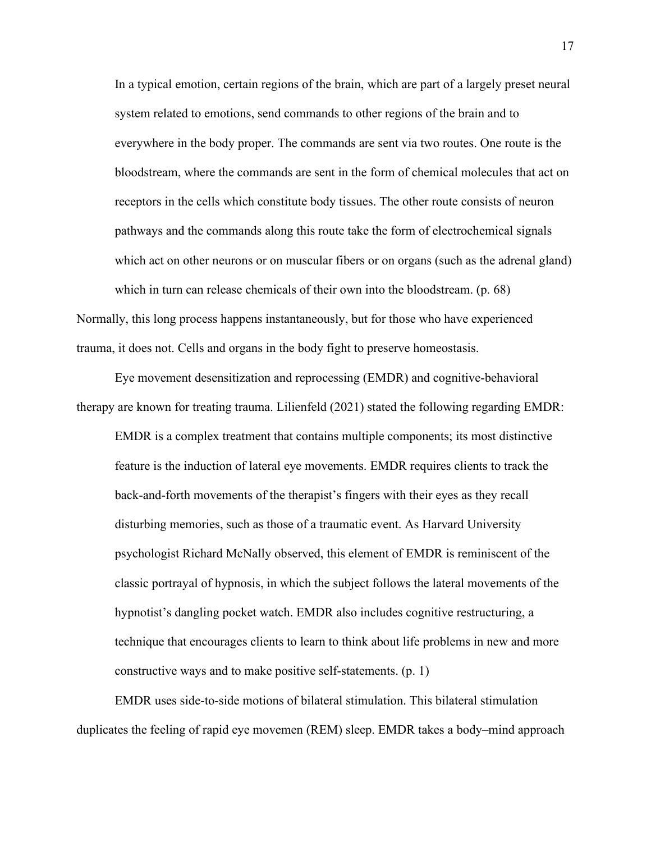In a typical emotion, certain regions of the brain, which are part of a largely preset neural system related to emotions, send commands to other regions of the brain and to everywhere in the body proper. The commands are sent via two routes. One route is the bloodstream, where the commands are sent in the form of chemical molecules that act on receptors in the cells which constitute body tissues. The other route consists of neuron pathways and the commands along this route take the form of electrochemical signals which act on other neurons or on muscular fibers or on organs (such as the adrenal gland) which in turn can release chemicals of their own into the bloodstream. (p. 68) Normally, this long process happens instantaneously, but for those who have experienced trauma, it does not. Cells and organs in the body fight to preserve homeostasis.

Eye movement desensitization and reprocessing (EMDR) and cognitive-behavioral therapy are known for treating trauma. Lilienfeld (2021) stated the following regarding EMDR:

EMDR is a complex treatment that contains multiple components; its most distinctive feature is the induction of lateral eye movements. EMDR requires clients to track the back-and-forth movements of the therapist's fingers with their eyes as they recall disturbing memories, such as those of a traumatic event. As Harvard University psychologist Richard McNally observed, this element of EMDR is reminiscent of the classic portrayal of hypnosis, in which the subject follows the lateral movements of the hypnotist's dangling pocket watch. EMDR also includes cognitive restructuring, a technique that encourages clients to learn to think about life problems in new and more constructive ways and to make positive self-statements. (p. 1)

EMDR uses side-to-side motions of bilateral stimulation. This bilateral stimulation duplicates the feeling of rapid eye movemen (REM) sleep. EMDR takes a body–mind approach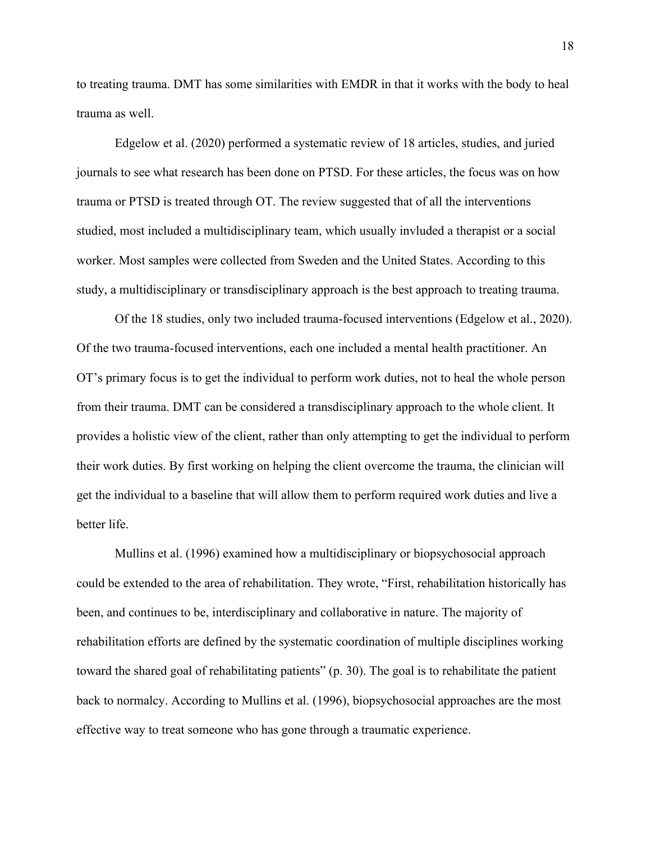to treating trauma. DMT has some similarities with EMDR in that it works with the body to heal trauma as well.

Edgelow et al. (2020) performed a systematic review of 18 articles, studies, and juried journals to see what research has been done on PTSD. For these articles, the focus was on how trauma or PTSD is treated through OT. The review suggested that of all the interventions studied, most included a multidisciplinary team, which usually invluded a therapist or a social worker. Most samples were collected from Sweden and the United States. According to this study, a multidisciplinary or transdisciplinary approach is the best approach to treating trauma.

Of the 18 studies, only two included trauma-focused interventions (Edgelow et al., 2020). Of the two trauma-focused interventions, each one included a mental health practitioner. An OT's primary focus is to get the individual to perform work duties, not to heal the whole person from their trauma. DMT can be considered a transdisciplinary approach to the whole client. It provides a holistic view of the client, rather than only attempting to get the individual to perform their work duties. By first working on helping the client overcome the trauma, the clinician will get the individual to a baseline that will allow them to perform required work duties and live a better life.

Mullins et al. (1996) examined how a multidisciplinary or biopsychosocial approach could be extended to the area of rehabilitation. They wrote, "First, rehabilitation historically has been, and continues to be, interdisciplinary and collaborative in nature. The majority of rehabilitation efforts are defined by the systematic coordination of multiple disciplines working toward the shared goal of rehabilitating patients" (p. 30). The goal is to rehabilitate the patient back to normalcy. According to Mullins et al. (1996), biopsychosocial approaches are the most effective way to treat someone who has gone through a traumatic experience.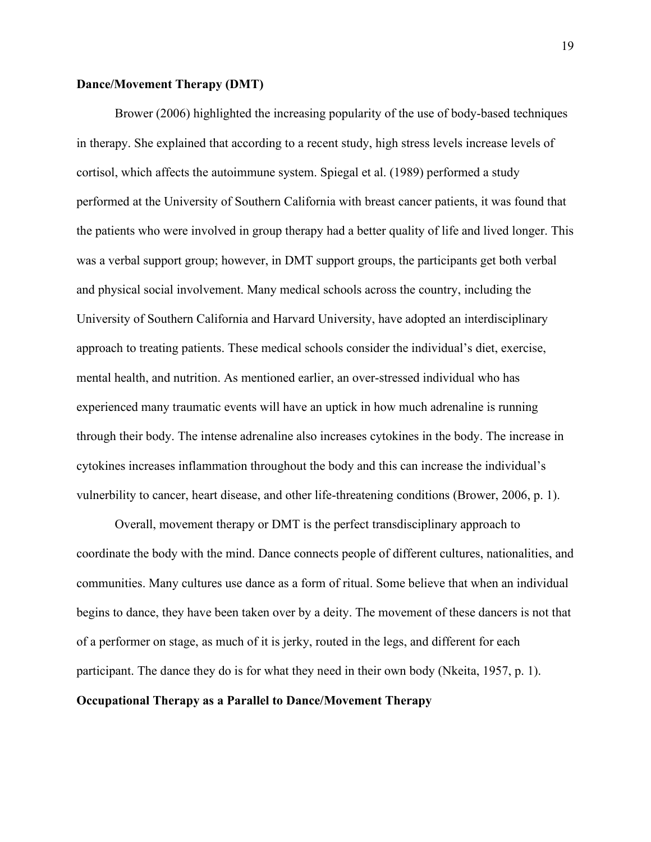# **Dance/Movement Therapy (DMT)**

Brower (2006) highlighted the increasing popularity of the use of body-based techniques in therapy. She explained that according to a recent study, high stress levels increase levels of cortisol, which affects the autoimmune system. Spiegal et al. (1989) performed a study performed at the University of Southern California with breast cancer patients, it was found that the patients who were involved in group therapy had a better quality of life and lived longer. This was a verbal support group; however, in DMT support groups, the participants get both verbal and physical social involvement. Many medical schools across the country, including the University of Southern California and Harvard University, have adopted an interdisciplinary approach to treating patients. These medical schools consider the individual's diet, exercise, mental health, and nutrition. As mentioned earlier, an over-stressed individual who has experienced many traumatic events will have an uptick in how much adrenaline is running through their body. The intense adrenaline also increases cytokines in the body. The increase in cytokines increases inflammation throughout the body and this can increase the individual's vulnerbility to cancer, heart disease, and other life-threatening conditions (Brower, 2006, p. 1).

Overall, movement therapy or DMT is the perfect transdisciplinary approach to coordinate the body with the mind. Dance connects people of different cultures, nationalities, and communities. Many cultures use dance as a form of ritual. Some believe that when an individual begins to dance, they have been taken over by a deity. The movement of these dancers is not that of a performer on stage, as much of it is jerky, routed in the legs, and different for each participant. The dance they do is for what they need in their own body (Nkeita, 1957, p. 1). **Occupational Therapy as a Parallel to Dance/Movement Therapy**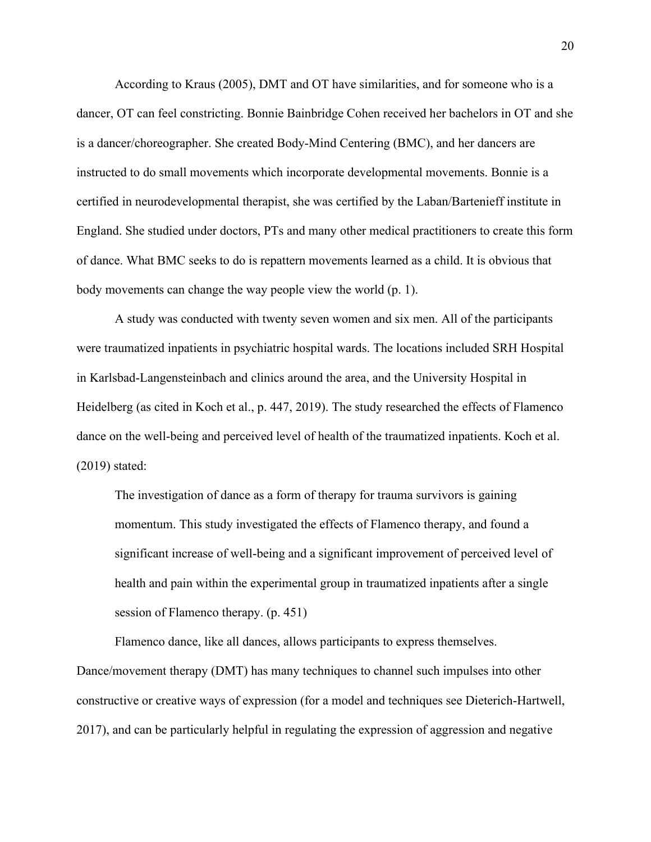According to Kraus (2005), DMT and OT have similarities, and for someone who is a dancer, OT can feel constricting. Bonnie Bainbridge Cohen received her bachelors in OT and she is a dancer/choreographer. She created Body-Mind Centering (BMC), and her dancers are instructed to do small movements which incorporate developmental movements. Bonnie is a certified in neurodevelopmental therapist, she was certified by the Laban/Bartenieff institute in England. She studied under doctors, PTs and many other medical practitioners to create this form of dance. What BMC seeks to do is repattern movements learned as a child. It is obvious that body movements can change the way people view the world (p. 1).

A study was conducted with twenty seven women and six men. All of the participants were traumatized inpatients in psychiatric hospital wards. The locations included SRH Hospital in Karlsbad-Langensteinbach and clinics around the area, and the University Hospital in Heidelberg (as cited in Koch et al., p. 447, 2019). The study researched the effects of Flamenco dance on the well-being and perceived level of health of the traumatized inpatients. Koch et al. (2019) stated:

The investigation of dance as a form of therapy for trauma survivors is gaining momentum. This study investigated the effects of Flamenco therapy, and found a significant increase of well-being and a significant improvement of perceived level of health and pain within the experimental group in traumatized inpatients after a single session of Flamenco therapy. (p. 451)

Flamenco dance, like all dances, allows participants to express themselves. Dance/movement therapy (DMT) has many techniques to channel such impulses into other constructive or creative ways of expression (for a model and techniques see Dieterich-Hartwell, 2017), and can be particularly helpful in regulating the expression of aggression and negative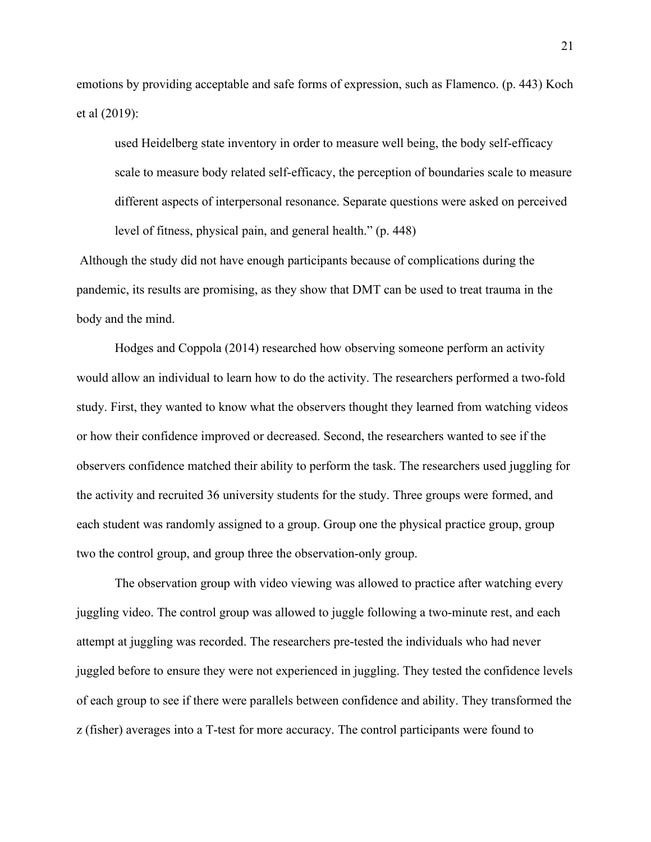emotions by providing acceptable and safe forms of expression, such as Flamenco. (p. 443) Koch et al (2019):

used Heidelberg state inventory in order to measure well being, the body self-efficacy scale to measure body related self-efficacy, the perception of boundaries scale to measure different aspects of interpersonal resonance. Separate questions were asked on perceived level of fitness, physical pain, and general health." (p. 448)

Although the study did not have enough participants because of complications during the pandemic, its results are promising, as they show that DMT can be used to treat trauma in the body and the mind.

Hodges and Coppola (2014) researched how observing someone perform an activity would allow an individual to learn how to do the activity. The researchers performed a two-fold study. First, they wanted to know what the observers thought they learned from watching videos or how their confidence improved or decreased. Second, the researchers wanted to see if the observers confidence matched their ability to perform the task. The researchers used juggling for the activity and recruited 36 university students for the study. Three groups were formed, and each student was randomly assigned to a group. Group one the physical practice group, group two the control group, and group three the observation-only group.

The observation group with video viewing was allowed to practice after watching every juggling video. The control group was allowed to juggle following a two-minute rest, and each attempt at juggling was recorded. The researchers pre-tested the individuals who had never juggled before to ensure they were not experienced in juggling. They tested the confidence levels of each group to see if there were parallels between confidence and ability. They transformed the z (fisher) averages into a T-test for more accuracy. The control participants were found to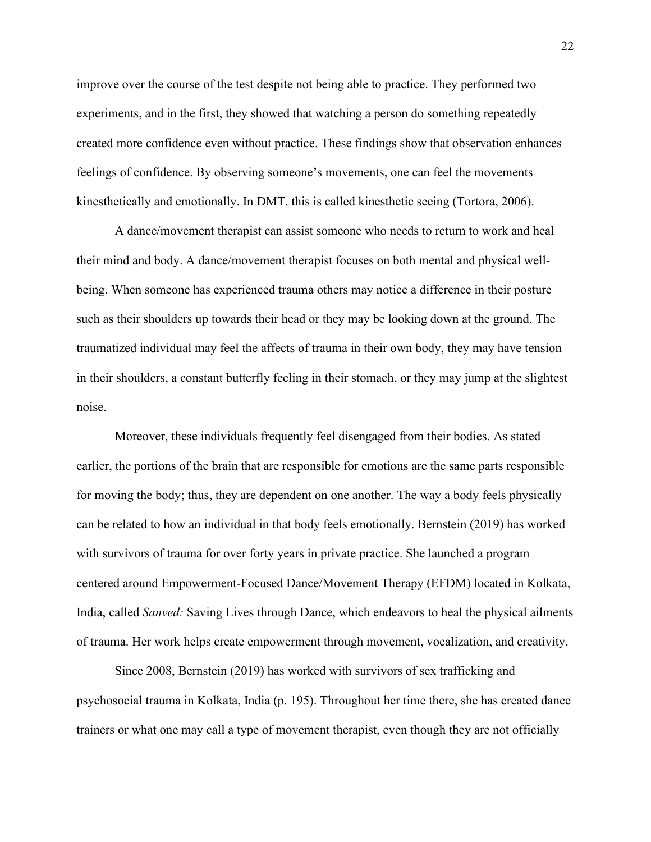improve over the course of the test despite not being able to practice. They performed two experiments, and in the first, they showed that watching a person do something repeatedly created more confidence even without practice. These findings show that observation enhances feelings of confidence. By observing someone's movements, one can feel the movements kinesthetically and emotionally. In DMT, this is called kinesthetic seeing (Tortora, 2006).

A dance/movement therapist can assist someone who needs to return to work and heal their mind and body. A dance/movement therapist focuses on both mental and physical wellbeing. When someone has experienced trauma others may notice a difference in their posture such as their shoulders up towards their head or they may be looking down at the ground. The traumatized individual may feel the affects of trauma in their own body, they may have tension in their shoulders, a constant butterfly feeling in their stomach, or they may jump at the slightest noise.

Moreover, these individuals frequently feel disengaged from their bodies. As stated earlier, the portions of the brain that are responsible for emotions are the same parts responsible for moving the body; thus, they are dependent on one another. The way a body feels physically can be related to how an individual in that body feels emotionally. Bernstein (2019) has worked with survivors of trauma for over forty years in private practice. She launched a program centered around Empowerment-Focused Dance/Movement Therapy (EFDM) located in Kolkata, India, called *Sanved:* Saving Lives through Dance, which endeavors to heal the physical ailments of trauma. Her work helps create empowerment through movement, vocalization, and creativity.

Since 2008, Bernstein (2019) has worked with survivors of sex trafficking and psychosocial trauma in Kolkata, India (p. 195). Throughout her time there, she has created dance trainers or what one may call a type of movement therapist, even though they are not officially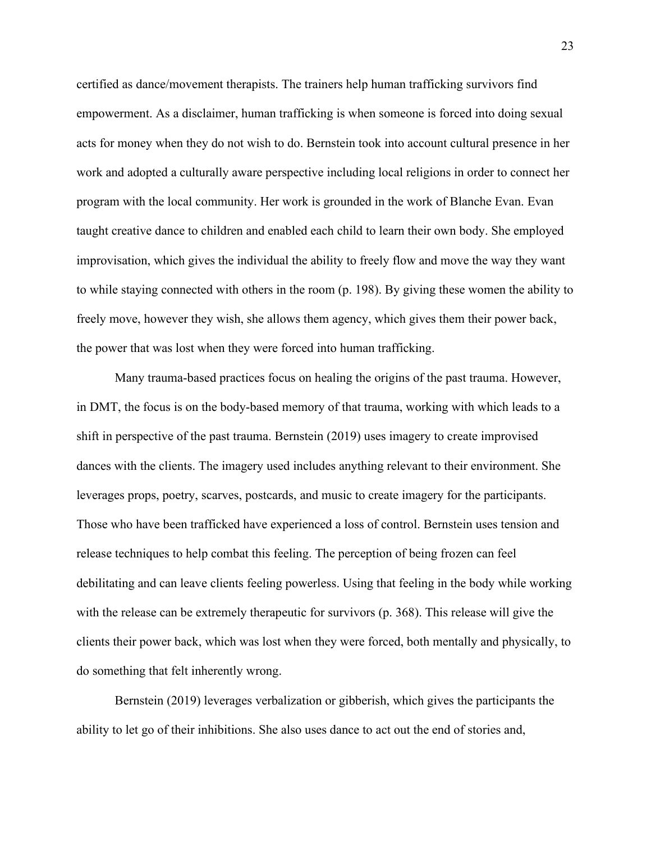certified as dance/movement therapists. The trainers help human trafficking survivors find empowerment. As a disclaimer, human trafficking is when someone is forced into doing sexual acts for money when they do not wish to do. Bernstein took into account cultural presence in her work and adopted a culturally aware perspective including local religions in order to connect her program with the local community. Her work is grounded in the work of Blanche Evan. Evan taught creative dance to children and enabled each child to learn their own body. She employed improvisation, which gives the individual the ability to freely flow and move the way they want to while staying connected with others in the room (p. 198). By giving these women the ability to freely move, however they wish, she allows them agency, which gives them their power back, the power that was lost when they were forced into human trafficking.

Many trauma-based practices focus on healing the origins of the past trauma. However, in DMT, the focus is on the body-based memory of that trauma, working with which leads to a shift in perspective of the past trauma. Bernstein (2019) uses imagery to create improvised dances with the clients. The imagery used includes anything relevant to their environment. She leverages props, poetry, scarves, postcards, and music to create imagery for the participants. Those who have been trafficked have experienced a loss of control. Bernstein uses tension and release techniques to help combat this feeling. The perception of being frozen can feel debilitating and can leave clients feeling powerless. Using that feeling in the body while working with the release can be extremely therapeutic for survivors (p. 368). This release will give the clients their power back, which was lost when they were forced, both mentally and physically, to do something that felt inherently wrong.

Bernstein (2019) leverages verbalization or gibberish, which gives the participants the ability to let go of their inhibitions. She also uses dance to act out the end of stories and,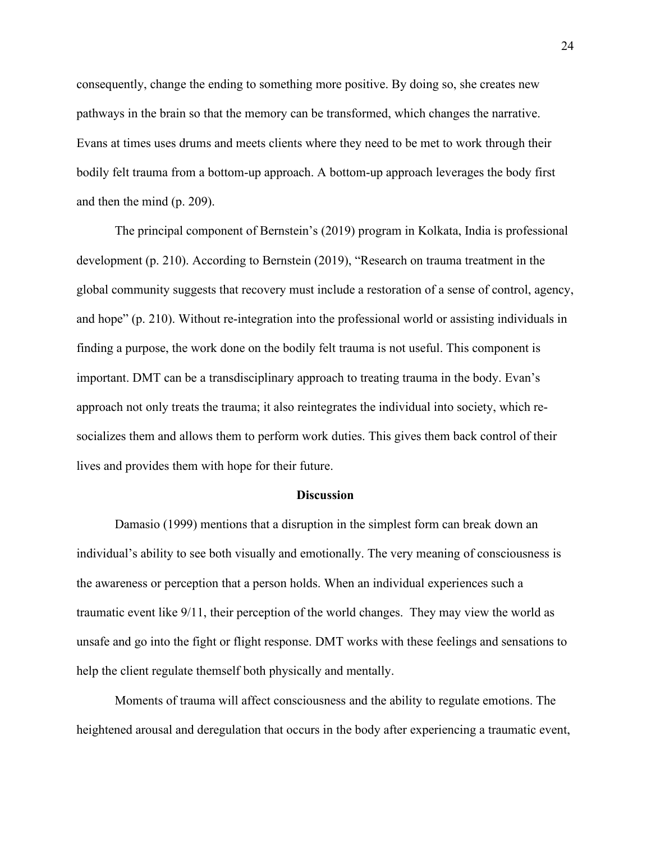consequently, change the ending to something more positive. By doing so, she creates new pathways in the brain so that the memory can be transformed, which changes the narrative. Evans at times uses drums and meets clients where they need to be met to work through their bodily felt trauma from a bottom-up approach. A bottom-up approach leverages the body first and then the mind (p. 209).

The principal component of Bernstein's (2019) program in Kolkata, India is professional development (p. 210). According to Bernstein (2019), "Research on trauma treatment in the global community suggests that recovery must include a restoration of a sense of control, agency, and hope" (p. 210). Without re-integration into the professional world or assisting individuals in finding a purpose, the work done on the bodily felt trauma is not useful. This component is important. DMT can be a transdisciplinary approach to treating trauma in the body. Evan's approach not only treats the trauma; it also reintegrates the individual into society, which resocializes them and allows them to perform work duties. This gives them back control of their lives and provides them with hope for their future.

#### **Discussion**

Damasio (1999) mentions that a disruption in the simplest form can break down an individual's ability to see both visually and emotionally. The very meaning of consciousness is the awareness or perception that a person holds. When an individual experiences such a traumatic event like 9/11, their perception of the world changes. They may view the world as unsafe and go into the fight or flight response. DMT works with these feelings and sensations to help the client regulate themself both physically and mentally.

Moments of trauma will affect consciousness and the ability to regulate emotions. The heightened arousal and deregulation that occurs in the body after experiencing a traumatic event,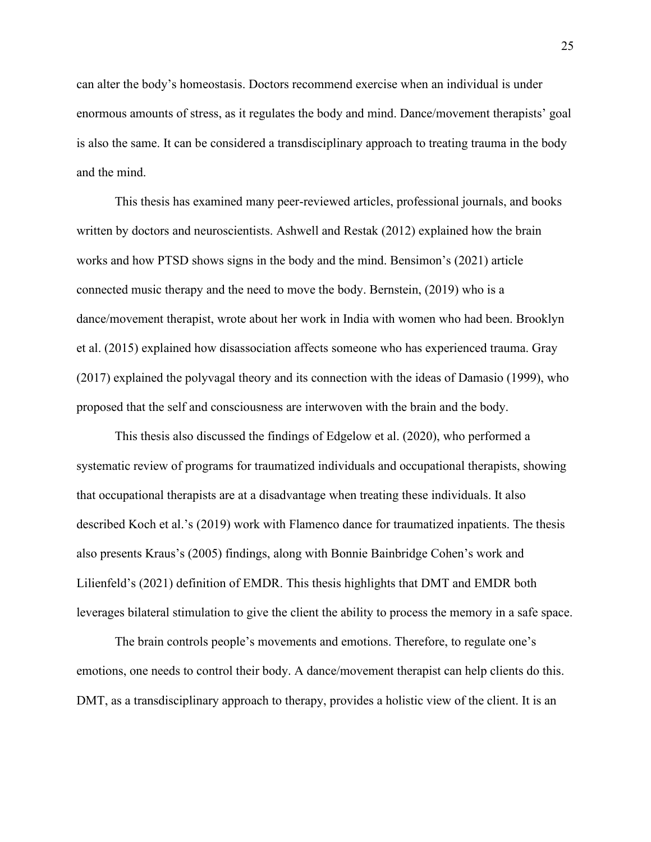can alter the body's homeostasis. Doctors recommend exercise when an individual is under enormous amounts of stress, as it regulates the body and mind. Dance/movement therapists' goal is also the same. It can be considered a transdisciplinary approach to treating trauma in the body and the mind.

This thesis has examined many peer-reviewed articles, professional journals, and books written by doctors and neuroscientists. Ashwell and Restak (2012) explained how the brain works and how PTSD shows signs in the body and the mind. Bensimon's (2021) article connected music therapy and the need to move the body. Bernstein, (2019) who is a dance/movement therapist, wrote about her work in India with women who had been. Brooklyn et al. (2015) explained how disassociation affects someone who has experienced trauma. Gray (2017) explained the polyvagal theory and its connection with the ideas of Damasio (1999), who proposed that the self and consciousness are interwoven with the brain and the body.

This thesis also discussed the findings of Edgelow et al. (2020), who performed a systematic review of programs for traumatized individuals and occupational therapists, showing that occupational therapists are at a disadvantage when treating these individuals. It also described Koch et al.'s (2019) work with Flamenco dance for traumatized inpatients. The thesis also presents Kraus's (2005) findings, along with Bonnie Bainbridge Cohen's work and Lilienfeld's (2021) definition of EMDR. This thesis highlights that DMT and EMDR both leverages bilateral stimulation to give the client the ability to process the memory in a safe space.

The brain controls people's movements and emotions. Therefore, to regulate one's emotions, one needs to control their body. A dance/movement therapist can help clients do this. DMT, as a transdisciplinary approach to therapy, provides a holistic view of the client. It is an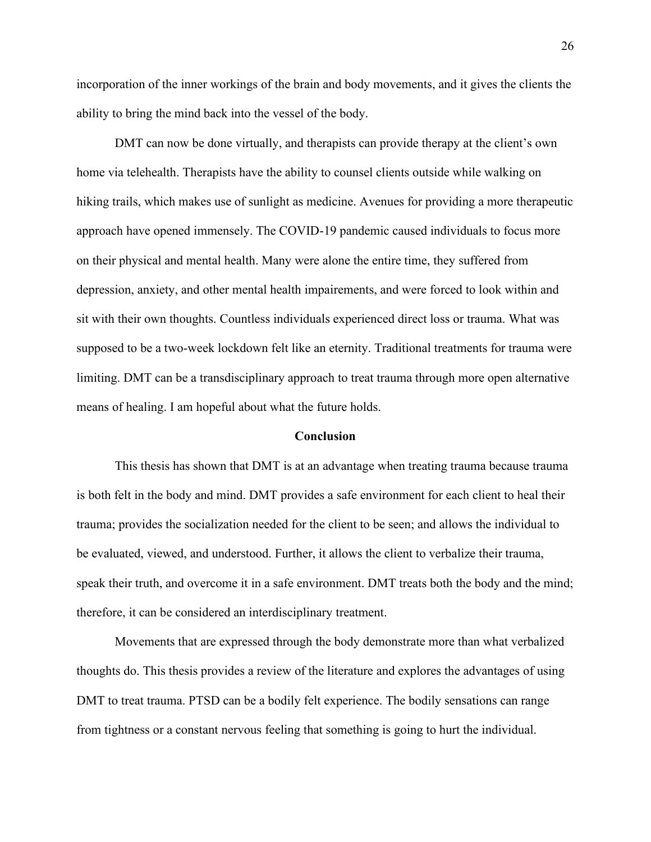incorporation of the inner workings of the brain and body movements, and it gives the clients the ability to bring the mind back into the vessel of the body.

DMT can now be done virtually, and therapists can provide therapy at the client's own home via telehealth. Therapists have the ability to counsel clients outside while walking on hiking trails, which makes use of sunlight as medicine. Avenues for providing a more therapeutic approach have opened immensely. The COVID-19 pandemic caused individuals to focus more on their physical and mental health. Many were alone the entire time, they suffered from depression, anxiety, and other mental health impairements, and were forced to look within and sit with their own thoughts. Countless individuals experienced direct loss or trauma. What was supposed to be a two-week lockdown felt like an eternity. Traditional treatments for trauma were limiting. DMT can be a transdisciplinary approach to treat trauma through more open alternative means of healing. I am hopeful about what the future holds.

#### **Conclusion**

This thesis has shown that DMT is at an advantage when treating trauma because trauma is both felt in the body and mind. DMT provides a safe environment for each client to heal their trauma; provides the socialization needed for the client to be seen; and allows the individual to be evaluated, viewed, and understood. Further, it allows the client to verbalize their trauma, speak their truth, and overcome it in a safe environment. DMT treats both the body and the mind; therefore, it can be considered an interdisciplinary treatment.

Movements that are expressed through the body demonstrate more than what verbalized thoughts do. This thesis provides a review of the literature and explores the advantages of using DMT to treat trauma. PTSD can be a bodily felt experience. The bodily sensations can range from tightness or a constant nervous feeling that something is going to hurt the individual.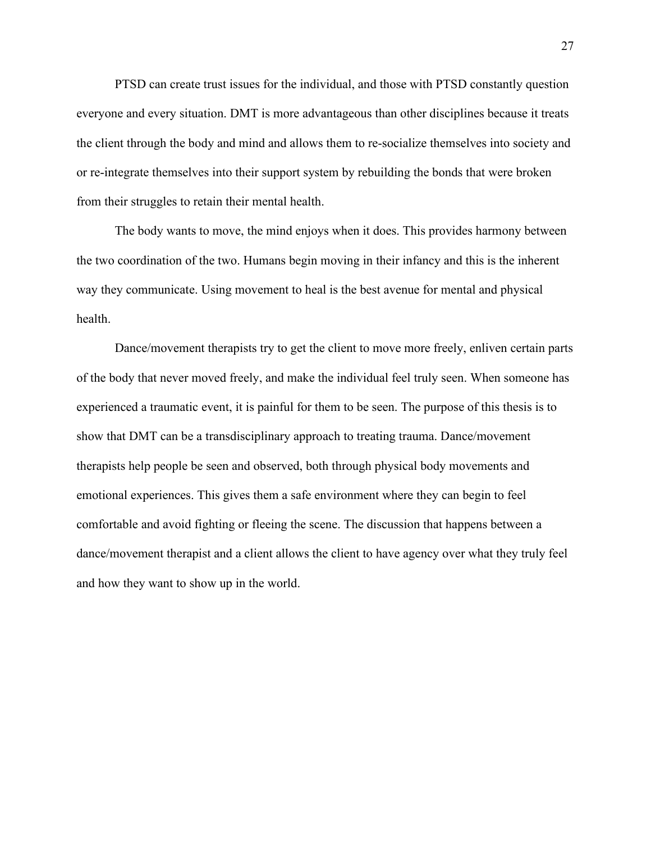PTSD can create trust issues for the individual, and those with PTSD constantly question everyone and every situation. DMT is more advantageous than other disciplines because it treats the client through the body and mind and allows them to re-socialize themselves into society and or re-integrate themselves into their support system by rebuilding the bonds that were broken from their struggles to retain their mental health.

The body wants to move, the mind enjoys when it does. This provides harmony between the two coordination of the two. Humans begin moving in their infancy and this is the inherent way they communicate. Using movement to heal is the best avenue for mental and physical health.

Dance/movement therapists try to get the client to move more freely, enliven certain parts of the body that never moved freely, and make the individual feel truly seen. When someone has experienced a traumatic event, it is painful for them to be seen. The purpose of this thesis is to show that DMT can be a transdisciplinary approach to treating trauma. Dance/movement therapists help people be seen and observed, both through physical body movements and emotional experiences. This gives them a safe environment where they can begin to feel comfortable and avoid fighting or fleeing the scene. The discussion that happens between a dance/movement therapist and a client allows the client to have agency over what they truly feel and how they want to show up in the world.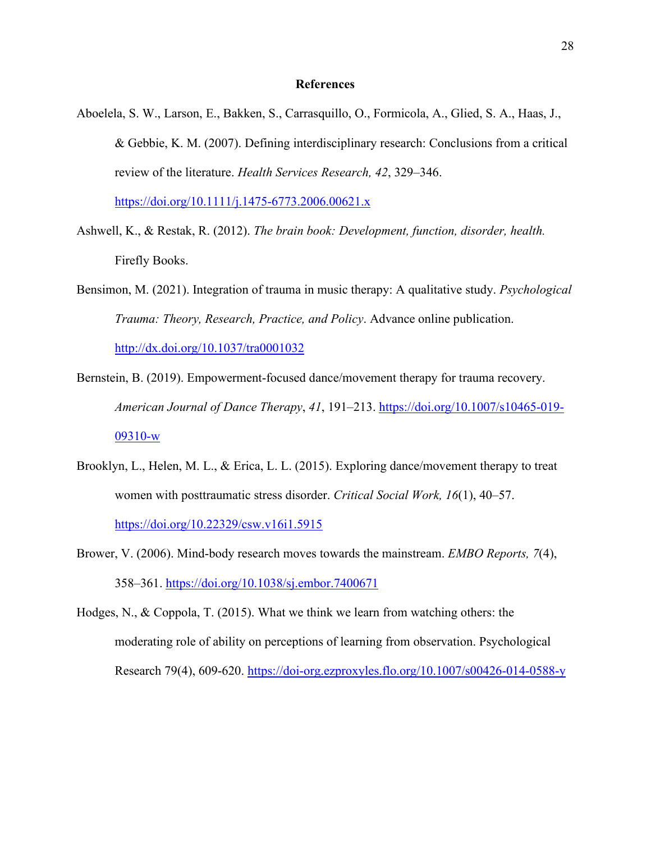#### **References**

Aboelela, S. W., Larson, E., Bakken, S., Carrasquillo, O., Formicola, A., Glied, S. A., Haas, J., & Gebbie, K. M. (2007). Defining interdisciplinary research: Conclusions from a critical review of the literature. *Health Services Research, 42*, 329–346.

https://doi.org/10.1111/j.1475-6773.2006.00621.x

- Ashwell, K., & Restak, R. (2012). *The brain book: Development, function, disorder, health.* Firefly Books.
- Bensimon, M. (2021). Integration of trauma in music therapy: A qualitative study. *Psychological Trauma: Theory, Research, Practice, and Policy*. Advance online publication.

<http://dx.doi.org/10.1037/tra0001032>

- Bernstein, B. (2019). Empowerment-focused dance/movement therapy for trauma recovery. *American Journal of Dance Therapy*, *41*, 191–213. [https://doi.org/10.1007/s10465-019-](https://doi.org/10.1007/s10465-019-09310-w) [09310-w](https://doi.org/10.1007/s10465-019-09310-w)
- Brooklyn, L., Helen, M. L., & Erica, L. L. (2015). Exploring dance/movement therapy to treat women with posttraumatic stress disorder. *Critical Social Work, 16*(1), 40–57. <https://doi.org/10.22329/csw.v16i1.5915>
- Brower, V. (2006). Mind-body research moves towards the mainstream. *EMBO Reports, 7*(4), 358–361. <https://doi.org/10.1038/sj.embor.7400671>
- Hodges, N., & Coppola, T. (2015). What we think we learn from watching others: the moderating role of ability on perceptions of learning from observation. Psychological Research 79(4), 609-620.<https://doi-org.ezproxyles.flo.org/10.1007/s00426-014-0588-y>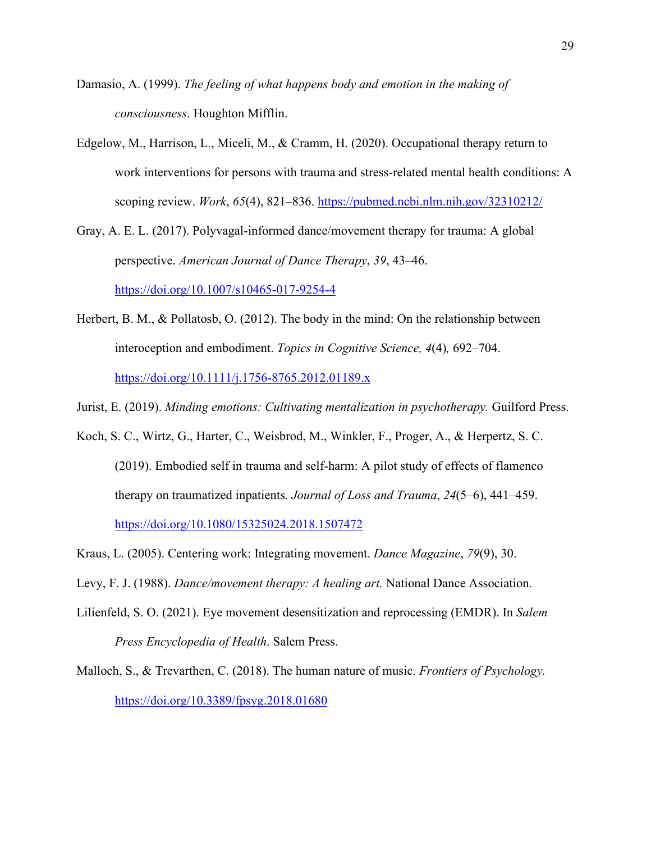- Damasio, A. (1999). *The feeling of what happens body and emotion in the making of consciousness*. Houghton Mifflin.
- Edgelow, M., Harrison, L., Miceli, M., & Cramm, H. (2020). Occupational therapy return to work interventions for persons with trauma and stress-related mental health conditions: A scoping review. *Work*, *65*(4), 821–836.<https://pubmed.ncbi.nlm.nih.gov/32310212/>

Gray, A. E. L. (2017). Polyvagal-informed dance/movement therapy for trauma: A global perspective. *American Journal of Dance Therapy*, *39*, 43–46. <https://doi.org/10.1007/s10465-017-9254-4>

- Herbert, B. M., & Pollatosb, O. (2012). The body in the mind: On the relationship between interoception and embodiment. *Topics in Cognitive Science, 4*(4)*,* 692–704. <https://doi.org/10.1111/j.1756-8765.2012.01189.x>
- Jurist, E. (2019). *Minding emotions: Cultivating mentalization in psychotherapy.* Guilford Press.
- Koch, S. C., Wirtz, G., Harter, C., Weisbrod, M., Winkler, F., Proger, A., & Herpertz, S. C. (2019). Embodied self in trauma and self-harm: A pilot study of effects of flamenco therapy on traumatized inpatients*. Journal of Loss and Trauma*, *24*(5–6), 441–459.

<https://doi.org/10.1080/15325024.2018.1507472>

- Kraus, L. (2005). Centering work: Integrating movement. *Dance Magazine*, *79*(9), 30.
- Levy, F. J. (1988). *Dance/movement therapy: A healing art.* National Dance Association.
- Lilienfeld, S. O. (2021). Eye movement desensitization and reprocessing (EMDR). In *Salem Press Encyclopedia of Health*. Salem Press.
- Malloch, S., & Trevarthen, C. (2018). The human nature of music. *Frontiers of Psychology.* <https://doi.org/10.3389/fpsyg.2018.01680>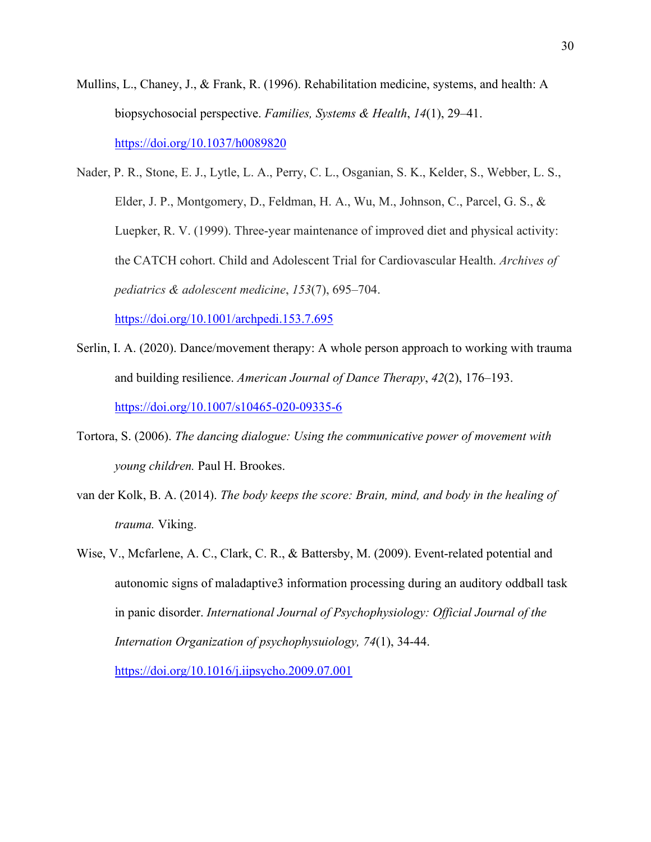- Mullins, L., Chaney, J., & Frank, R. (1996). Rehabilitation medicine, systems, and health: A biopsychosocial perspective. *Families, Systems & Health*, *14*(1), 29–41. <https://doi.org/10.1037/h0089820>
- Nader, P. R., Stone, E. J., Lytle, L. A., Perry, C. L., Osganian, S. K., Kelder, S., Webber, L. S., Elder, J. P., Montgomery, D., Feldman, H. A., Wu, M., Johnson, C., Parcel, G. S., & Luepker, R. V. (1999). Three-year maintenance of improved diet and physical activity: the CATCH cohort. Child and Adolescent Trial for Cardiovascular Health. *Archives of pediatrics & adolescent medicine*, *153*(7), 695–704. <https://doi.org/10.1001/archpedi.153.7.695>
- Serlin, I. A. (2020). Dance/movement therapy: A whole person approach to working with trauma and building resilience. *American Journal of Dance Therapy*, *42*(2), 176–193. <https://doi.org/10.1007/s10465-020-09335-6>
- Tortora, S. (2006). *The dancing dialogue: Using the communicative power of movement with young children.* Paul H. Brookes.
- van der Kolk, B. A. (2014). *The body keeps the score: Brain, mind, and body in the healing of trauma.* Viking.
- Wise, V., Mcfarlene, A. C., Clark, C. R., & Battersby, M. (2009). Event-related potential and autonomic signs of maladaptive3 information processing during an auditory oddball task in panic disorder. *International Journal of Psychophysiology: Official Journal of the Internation Organization of psychophysuiology, 74*(1), 34-44.

<https://doi.org/10.1016/j.iipsycho.2009.07.001>